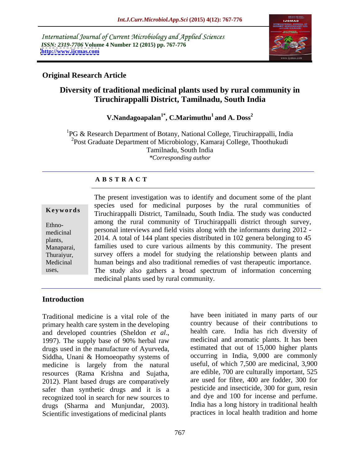International Journal of Current Microbiology and Applied Sciences *ISSN: 2319-7706* **Volume 4 Number 12 (2015) pp. 767-776 <http://www.ijcmas.com>**



### **Original Research Article**

## **Diversity of traditional medicinal plants used by rural community in Tiruchirappalli District, Tamilnadu, South India**

#### $V.Nand a goalan<sup>1*</sup>, C.Marimuthu<sup>1</sup> and A. Doss<sup>2</sup>$ **and A. Doss<sup>2</sup>**

1PG & Research Department of Botany, National College, Tiruchirappalli, India <sup>2</sup>Post Graduate Department of Microbiology, Kamaraj College, Thoothukudi Tamilnadu, South India *\*Corresponding author*

#### **A B S T R A C T**

| Keywords                                                                         |
|----------------------------------------------------------------------------------|
| Ethno-<br>medicinal<br>plants,<br>Manaparai,<br>Thuraiyur,<br>Medicinal<br>uses, |
|                                                                                  |

The present investigation was to identify and document some of the plant species used for medicinal purposes by the rural communities of **Keywords** Tiruchirappalli District, Tamilnadu, South India. The study was conducted among the rural community of Tiruchirappalli district through survey, er-<br>here is also all interviews and field visits along with the informants during 2012 -2014. A total of 144 plant species distributed in 102 genera belonging to 45 plants, Manaparai, families used to cure various ailments by this community. The present survey offers a model for studying the relationship between plants and Thuraiyur, Medicinal human beings and also traditional remedies of vast therapeutic importance. The study also gathers a broad spectrum of information concerning medicinal plants used by rural community. medicinal personal interviews and field visits along with the informative during  $2012 -$ 

#### **Introduction**

Traditional medicine is a vital role of the primary health care system in the developing and developed countries (Sheldon *et al.*, health care. India has rich diversity of 1997). The supply base of 90% herbal raw medicinal and aromatic plants. It has been drugs used in the manufacture of Ayurveda, Siddha, Unani & Homoeopathy systems of medicine is largely from the natural resources (Rama Krishna and Sujatha, 2012). Plant based drugs are comparatively safer than synthetic drugs and it is a pesticide and insecticide, 300 for gum, resin recognized tool in search for new sources to and dye and 100 for incense and perfume. recognized tool in search for new sources to and dye and 100 for incense and perfume.<br>
drugs (Sharma and Muniundar, 2003) India has a long history in traditional health drugs (Sharma and Munjundar, 2003). Scientific investigations of medicinal plants

country because of their contributions to health care. India has rich diversity of medicinal and aromatic plants. It has been estimated that out of 15,000 higher plants occurring in India, 9,000 are commonly useful, of which 7,500 are medicinal, 3,900 are edible, 700 are culturally important, 525 are used for fibre, 400 are fodder, 300 for pesticide and insecticide, 300 for gum, resin and dye and <sup>100</sup> for incense and perfume. India has <sup>a</sup> long history in traditional health practices in local health tradition and home

have been initiated in many parts of our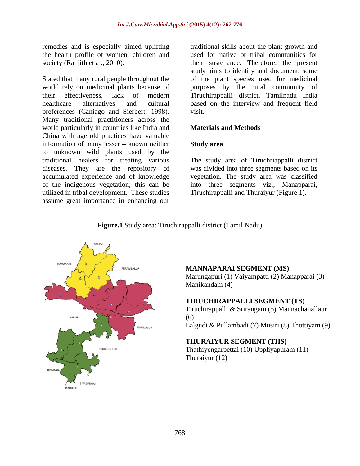remedies and is especially aimed uplifting the health profile of women, children and

Stated that many rural people throughout the world rely on medicinal plants because of<br>their effectiveness, lack of modern their effectiveness, lack of modern Tiruchirappalli district, Tamilnadu India healthcare alternatives and cultural based on the interview and frequent field preferences (Caniago and Sierbert, 1998). visit.<br>Many traditional practitioners across the world particularly in countries like India and **Materials and Methods** China with age old practices have valuable information of many lesser  $-$  known neither **Study area** to unknown wild plants used by the traditional healers for treating various The study area of Tiruchriappalli district diseases. They are the repository of was divided into three segments based on its accumulated experience and of knowledge vegetation. The study area was classified of the indigenous vegetation; this can be into three segments viz., Manapparai, utilized in tribal development. These studies assume great importance in enhancing our

society (Ranjith et al., 2010). their sustenance. Therefore, the present traditional skills about the plant growth and used for native or tribal communities for study aims to identify and document, some of the plant species used for medicinal purposes by the rural community of visit.

#### **Materials and Methods**

#### **Study area**

Tiruchirappalli and Thuraiyur (Figure 1).



#### **Figure.1** Study area: Tiruchirappalli district (Tamil Nadu)

#### **MANNAPARAI SEGMENT (MS)**

Marungapuri (1) Vaiyampatti (2) Manapparai (3) Manikandam (4)

#### **TIRUCHIRAPPALLI SEGMENT (TS)**

Tiruchirappalli & Srirangam (5) Mannachanallaur (6) Lalgudi & Pullambadi (7) Musiri (8) Thottiyam (9)

#### **THURAIYUR SEGMENT (THS)**

Thathiyengarpettai (10) Uppliyapuram (11) Thuraiyur (12)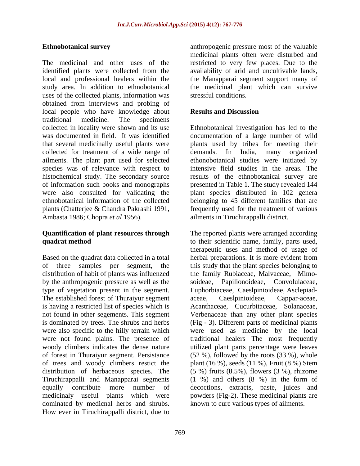The medicinal and other uses of the restricted to very few places. Due to the identified plants were collected from the availability of arid and uncultivable lands, local and professional healers within the study area. In addition to ethnobotanical the medicinal plant which can survive uses of the collected plants, information was obtained from interviews and probing of local people who have knowledge about **Results and Discussion** traditional medicine. The specimens collected in locality were shown and its use Ethnobotanical investigation has led to the was documented in field. It was identified documentation of a large number of wild that several medicinally useful plants were plants used by tribes for meeting their collected for treatment of a wide range of demands. In India, many organized ailments. The plant part used for selected species was of relevance with respect to intensive field studies in the areas. The histochemical study. The secondary source results of the ethnobotanical survey are of information such books and monographs presented in Table 1. The study revealed 144 were also consulted for validating the plant species distributed in 102 genera ethnobotanical information of the collected belonging to 45 different families that are plants (Chatterjee & Chandra Pakrashi 1991, frequently used for the treatment of various Ambasta 1986; Chopra *et al* 1956).

# **Quantification of plant resources through**

distribution of habit of plants was influenzed by the anthropogenic pressure as well as the soideae, Papilionoideae, Convolutaceae, The established forest of Thuraiyur segment aceae, Caeslpinioideae, Cappar-aceae, is having a restricted list of species which is were not found plains. The presence of woody climbers indicates the dense nature dominated by medicnal herbs and shrubs. How ever in Tiruchirappalli district, due to

**Ethnobotanical survey** anthropogenic pressure most of the valuable medicinal plants often were disturbed and the Manapparai segment support many of stressful conditions.

#### **Results and Discussion**

demands. In India, many organized ethonobotanical studies were initiated by ailments in Tiruchirappalli district.

**quadrat method**  to their scientific name, family, parts used, Based on the quadrat data collected in a total herbal preparations. It is more evident from of three samples per segment, the this study that the plant species belonging to by the anthropogenic pressure as well as the soideae, Papilionoideae, Convolulaceae, Convolulaceae, Caeslpinioideae, Asclepiadnot found in other segements. This segment Verbenaceae than any other plant species is dominated by trees. The shrubs and herbs (Fig -3). Different parts of medicinal plants were also specific to the hilly terrain which were used as medicine by the local woody climbers indicates the dense nature utilized plant parts percentage were leaves of forest in Thuraiyur segment. Persistance (52 %), followed by the roots (33 %), whole of trees and woody climbers restict the plant (16 %), seeds (11 %), Fruit (8 %) Stem distribution of herbaceous species. The (5 %) fruits (8.5%), flowers (3 %), rhizome Tiruchirappalli and Manapparai segments (1 %) and others (8 %) in the form of equally contribute more number of decoctions, extracts, paste, juices and medicinaly useful plants which were powders (Fig-2). These medicinal plants are The reported plants were arranged according therapeutic uses and method of usage of the family Rubiaceae, Malvaceae, Mimo aceae, Caeslpinioideae, Cappar-aceae, Acanthaceae, Cucurbitaceae, Solanaceae, traditional healers The most frequently known to cure various types of ailments.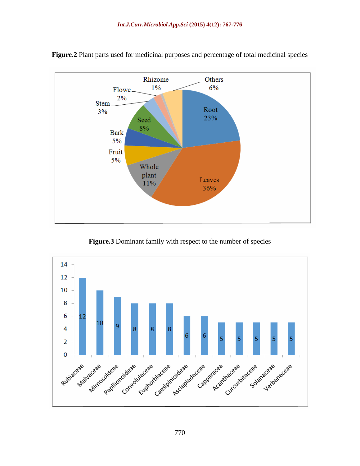

**Figure.2** Plant parts used for medicinal purposes and percentage of total medicinal species

**Figure.3** Dominant family with respect to the number of species

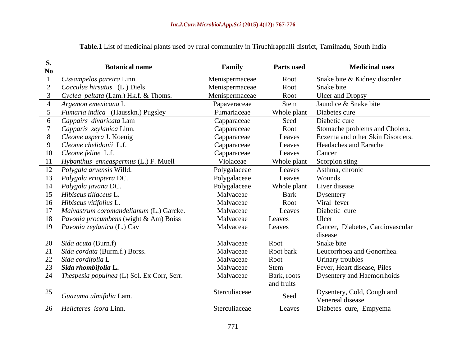| S.<br>$\bf No$ | <b>Botanical name</b>                         | Family         | <b>Parts used</b> | <b>Medicinal uses</b>                          |
|----------------|-----------------------------------------------|----------------|-------------------|------------------------------------------------|
|                | Cissampelos pareira Linn.                     | Menispermaceae | Root              | Snake bite & Kidney disorder                   |
|                | <i>Cocculus hirsutus</i> (L.) Diels           | Menispermaceae | Root              | Snake bite                                     |
|                | Cyclea peltata (Lam.) Hk.f. & Thoms.          | Menispermaceae | Root              | Ulcer and Dropsy                               |
|                | Argemon emexicana L                           | Papaveraceae   | <b>Stem</b>       | Jaundice & Snake bite                          |
|                | Fumaria indica (Hausskn.) Pugsley             | Fumariaceae    | Whole plant       | Diabetes cure                                  |
|                | Cappairs divaricata Lam                       | Capparaceae    | Seed              | Diabetic cure                                  |
|                | Capparis zeylanica Linn.                      | Capparaceae    | Root              | Stomache problems and Cholera.                 |
|                | Cleome aspera J. Koenig                       | Capparaceae    | Leaves            | Eczema and other Skin Disorders.               |
|                | Cleome chelidonii L.f.                        | Capparaceae    | Leaves            | <b>Headaches and Earache</b>                   |
|                | 10 Cleome feline L.f.                         | Capparaceae    | Leaves            | Cancer                                         |
|                | 11 Hybanthus enneaspermus (L.) F. Muell       | Violaceae      | Whole plant       | Scorpion sting                                 |
|                | 12 Polygala arvensis Willd.                   | Polygalaceae   | Leaves            | Asthma, chronic                                |
|                | 13 Polygala erioptera DC.                     | Polygalaceae   | Leaves            | Wounds                                         |
|                | 14 Polygala javana DC.                        | Polygalaceae   | Whole plant       | Liver disease                                  |
|                | 15 Hibiscus tiliaceus L.                      | Malvaceae      | Bark              | Dysentery                                      |
|                | 16 Hibiscus vitifolius L.                     | Malvaceae      | Root              | Viral fever                                    |
|                | 17 Malvastrum coromandelianum (L.) Garcke.    | Malvaceae      | Leaves            | Diabetic cure                                  |
|                | 18 Pavonia procumbens (wight & Am) Boiss      | Malvaceae      | Leaves            | Ulcer                                          |
|                | 19 Pavonia zeylanica (L.) Cav                 | Malvaceae      | Leaves            | Cancer, Diabetes, Cardiovascular               |
|                |                                               |                |                   | disease                                        |
|                | 20 <i>Sida acuta</i> (Burn.f)                 | Malvaceae      | Root              | Snake bite                                     |
|                | 21 Sida cordata (Burm.f.) Borss.              | Malvaceae      | Root bark         | Leucorrhoea and Gonorrhea.                     |
|                | 22 Sida cordifolia L                          | Malvaceae      | Root              | Urinary troubles                               |
|                | 23 Sida rhombifolia L.                        | Malvaceae      | Stem              | Fever, Heart disease, Piles                    |
|                | 24 Thespesia populnea (L) Sol. Ex Corr, Serr. | Malvaceae      | Bark, roots       | <b>Dysentery and Haemorrhoids</b>              |
|                |                                               |                | and fruits        |                                                |
| 25             | Guazuma ulmifolia Lam.                        | Sterculiaceae  | Seed              | Dysentery, Cold, Cough and<br>Venereal disease |
|                | 26 Helicteres isora Linn.                     | Sterculiaceae  | Leaves            | Diabetes cure, Empyema                         |

**Table.1** List of medicinal plants used by rural community in Tiruchirappalli district, Tamilnadu, South India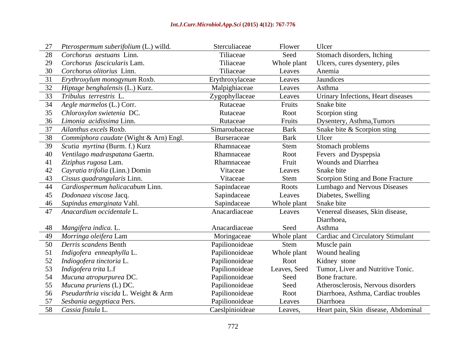| 27 Pterospermum suberifolium (L.) willd.  | Sterculiaceae   | Flower       | Ulcer                                    |
|-------------------------------------------|-----------------|--------------|------------------------------------------|
| 28 Corchorus aestuans Linn.               | Tiliaceae       | Seed         | Stomach disorders, Itching               |
| 29 Corchorus fascicularis Lam.            | Tiliaceae       | Whole plant  | Ulcers, cures dysentery, piles           |
| 30 Corchorus olitorius Linn.              | Tiliaceae       | Leaves       | Anemia                                   |
| 31 Erythroxylum monogynum Roxb.           | Erythroxylaceae | Leaves       | Jaundices                                |
| 32 Hiptage benghalensis (L.) Kurz.        | Malpighiaceae   | Leaves       | Asthma                                   |
| 33 Tribulus terrestris L.                 | Zygophyllaceae  | Leaves       | Urinary Infections. Heart diseases       |
| 34 Aegle marmelos (L.) Corr.              | Rutaceae        | Fruits       | Snake bite                               |
| 35 Chloroxylon swietenia DC.              | Rutaceae        | Root         | Scorpion sting                           |
| 36 Limonia acidissima Linn                | Rutaceae        | Fruits       | Dysentery, Asthma, Tumors                |
| 37 Ailanthus excels Roxb.                 | Simaroubaceae   | <b>Bark</b>  | Snake bite & Scorpion sting              |
| 38 Commiphora caudate (Wight & Arn) Engl. | Burseraceae     | Bark         | Ulcer                                    |
| 39 Scutia myrtina (Burm. f.) Kurz         | Rhamnaceae      | Stem         | Stomach problems                         |
| 40 Ventilago madraspatana Gaertn.         | Rhamnaceae      | Root         | Fevers and Dyspepsia                     |
| 41 Ziziphus rugosa Lam.                   | Rhamnaceae      | Fruit        | <b>Wounds and Diarrhea</b>               |
| 42 Cayratia trifolia (Linn.) Domin        | Vitaceae        | Leaves       | Snake bite                               |
| 43 Cissus quadrangularis Linn.            | Vitaceae        | Stem         | Scorpion Sting and Bone Fracture         |
| 44 Cardiospermum halicacabum Linn.        | Sapindaceae     | Roots        | Lumbago and Nervous Diseases             |
| 45 Dodonaea viscose Jacq.                 | Sapindaceae     | Leaves       | Diabetes, Swelling                       |
| 46 Sapindus emarginata Vahl.              | Sapindaceae     | Whole plant  | Snake bite                               |
| 47 Anacardium occidentale L.              | Anacardiaceae   | Leaves       | Venereal diseases, Skin disease.         |
|                                           |                 |              | Diarrhoea,                               |
| 48 Mangifera indica. L.                   | Anacardiaceae   | Seed         | Asthma                                   |
| 49 Morringa oleifera Lam                  | Moringaceae     | Whole plant  | <b>Cardiac and Circulatory Stimulant</b> |
| 50 Derris scandens Benth                  | Papilionoideae  | Stem         | Muscle pain                              |
| 51 Indigofera enneaphylla L.              | Papilionoideae  | Whole plant  | Wound healing                            |
| 52 Indiogofera tinctoria L.               | Papilionoideae  | Root         | Kidney stone                             |
| 53 Indigofera trita L.f                   | Papilionoideae  | Leaves, Seed | Tumor, Liver and Nutritive Tonic.        |
| 54 Mucuna atropurpurea DC.                | Papilionoideae  | Seed         | Bone fracture.                           |
| 55 Mucuna pruriens (L) DC.                | Papilionoideae  | Seed         | Atherosclerosis, Nervous disorders       |
| 56 Pseudarthria viscida L. Weight & Arm   | Papilionoideae  | Root         | Diarrhoea, Asthma, Cardiac troubles      |
| 57 Sesbania aegyptiaca Pers.              | Papilionoideae  | Leaves       | Diarrhoea                                |
| 58 Cassia fistula L                       | Caeslpinioideae | Leaves.      | Heart pain, Skin disease, Abdominal      |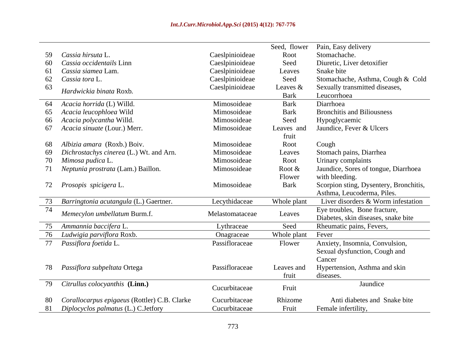|    |                                              |                 | Seed, flower | Pain, Easy delivery                    |
|----|----------------------------------------------|-----------------|--------------|----------------------------------------|
|    | 59 Cassia hirsuta L                          | Caeslpinioideae | Root         | Stomachache.                           |
| 60 | Cassia occidentails Linn                     | Caeslpinioideae | Seed         | Diuretic, Liver detoxifier             |
| 61 | Cassia siamea Lam.                           | Caeslpinioideae | Leaves       | Snake bite                             |
| 62 | Cassia tora L.                               | Caeslpinioideae | Seed         | Stomachache, Asthma, Cough & Cold      |
| 63 |                                              | Caeslpinioideae | Leaves $&$   | Sexually transmitted diseases,         |
|    | Hardwickia binata Roxb.                      |                 | <b>Bark</b>  | Leucorrhoea                            |
| 64 | Acacia horrida (L) Willd.                    | Mimosoideae     | <b>Bark</b>  | Diarrhoea                              |
|    | 65 Acacia leucophloea Wild                   | Mimosoideae     | <b>Bark</b>  | <b>Bronchitis and Biliousness</b>      |
| 66 | Acacia polycantha Willd.                     | Mimosoideae     | Seed         | Hypoglycaemic                          |
|    | 67 Acacia sinuate (Lour.) Merr.              | Mimosoideae     | Leaves and   | Jaundice, Fever & Ulcers               |
|    |                                              |                 | fruit        |                                        |
|    | 68 Albizia amara (Roxb.) Boiv.               | Mimosoideae     | Root         | Cough                                  |
| 69 | Dichrostachys cinerea (L.) Wt. and Arn.      | Mimosoideae     | Leaves       | Stomach pains, Diarrhea                |
|    | 70 Mimosa pudica L.                          | Mimosoideae     | Root         | Urinary complaints                     |
|    | 71 Neptunia prostrata (Lam.) Baillon.        | Mimosoideae     | Root &       | Jaundice, Sores of tongue, Diarrhoea   |
|    |                                              |                 | Flower       | with bleeding.                         |
|    | 72 Prosopis spicigera L.                     | Mimosoideae     | <b>Bark</b>  | Scorpion sting, Dysentery, Bronchitis, |
|    |                                              |                 |              | Asthma, Leucoderma, Piles.             |
|    | 73 Barringtonia acutangula (L.) Gaertner.    | Lecythidaceae   | Whole plant  | Liver disorders & Worm infestation     |
| 74 | Memecylon umbellatum Burm.f.                 | Melastomataceae |              | Eye troubles, Bone fracture,           |
|    |                                              |                 | Leaves       | Diabetes, skin diseases, snake bite    |
|    | 75 Ammannia baccifera L                      | Lythraceae      | Seed         | Rheumatic pains, Fevers,               |
|    | 76 Ludwigia parviflora Roxb.                 | Onagraceae      | Whole plant  | Fever                                  |
|    | 77 Passiflora foetida L.                     | Passifloraceae  | Flower       | Anxiety, Insomnia, Convulsion,         |
|    |                                              |                 |              | Sexual dysfunction, Cough and          |
|    |                                              |                 |              | Cancer                                 |
|    | 78 Passiflora subpeltata Ortega              | Passifloraceae  | Leaves and   | Hypertension, Asthma and skin          |
|    |                                              |                 | fruit        | diseases.                              |
|    | 79 Citrullus colocyanthis (Linn.)            | Cucurbitaceae   | Fruit        | Jaundice                               |
|    |                                              |                 |              |                                        |
|    | Corallocarpus epigaeus (Rottler) C.B. Clarke | Cucurbitaceae   | Rhizome      | Anti diabetes and Snake bite           |
| 81 | Diplocyclos palmatus (L.) C.Jetfory          | Cucurbitaceae   | Fruit        | Female infertility,                    |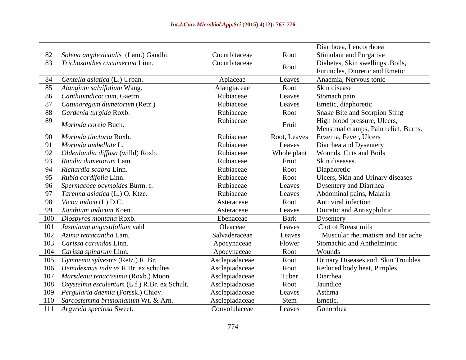| <b>Stimulant and Purgative</b><br>82 Solena amplexicaulis (Lam.) Gandhi.<br>Cucurbitaceae<br>Root<br>Cucurbitaceae<br>83 Trichosanthes cucumerina Linn.<br>Diabetes, Skin swellings , Boils,<br>Root |
|------------------------------------------------------------------------------------------------------------------------------------------------------------------------------------------------------|
|                                                                                                                                                                                                      |
|                                                                                                                                                                                                      |
| Furuncles, Diuretic and Emetic                                                                                                                                                                       |
| 84 Centella asiatica (L.) Urban.<br>Anaemia. Nervous tonic<br>Apiaceae<br>Leaves                                                                                                                     |
| Skin disease<br>85 Alangium salvifolium Wang.<br>Root<br>Alangiaceae                                                                                                                                 |
| 86 Canthiumdicoccum. Gaetrn<br>Rubiaceae<br>Stomach pain.<br>Leaves                                                                                                                                  |
| Rubiaceae<br>87 Catunaregam dumetorum (Retz.)<br>Emetic, diaphoretic<br>Leaves                                                                                                                       |
| 88 Gardenia turgida Roxb.<br>Rubiaceae<br>Root<br><b>Snake Bite and Scorpion Sting</b>                                                                                                               |
| Rubiaceae<br>High blood pressure, Ulcers,<br>Morinda coreia Buch.<br>Fruit                                                                                                                           |
| Menstrual cramps, Pain relief, Burns.                                                                                                                                                                |
| Eczema, Fever, Ulcers<br>90 Morinda tinctoria Roxb.<br>Rubiaceae<br>Root, Leaves                                                                                                                     |
| 91 Morinda umbellate L<br>Rubiaceae<br>Diarrhea and Dysentery<br>Leaves                                                                                                                              |
| Rubiaceae<br>Wounds, Cuts and Boils<br>92 Oldenlandia diffusa (willd) Roxb.<br>Whole plant                                                                                                           |
| Skin diseases.<br>Rubiaceae<br>93 Randia dumetorum Lam.<br>Fruit                                                                                                                                     |
| Rubiaceae<br>94 Richardia scabra Linn.<br>Diaphoretic<br>Root                                                                                                                                        |
| 95 Rubia cordifolia Linn.<br>Rubiaceae<br>Ulcers, Skin and Urinary diseases<br>Root                                                                                                                  |
| Rubiaceae<br>96 Spermacoce ocymoides Burm. f.<br><b>Dysentery and Diarrhea</b><br>Leaves                                                                                                             |
| 97 Tarenna asiatica (L.) O. Ktze.<br>Rubiaceae<br>Abdominal pains, Malaria<br>Leaves                                                                                                                 |
| 98 Vicoa indica (L) D.C.<br>Anti viral infection<br>Root<br>Asteraceae                                                                                                                               |
| 99 Xanthium indicum Koen.<br>Diuretic and Antisyphilitic<br>Asteraceae<br>Leaves                                                                                                                     |
| 100 Diospyros montana Roxb.<br>Bark<br>Ebenaceae<br>Dysentery                                                                                                                                        |
| 101 Jasminum angustifolium vahl<br>Clot of Breast milk<br>Oleaceae<br>Leaves                                                                                                                         |
| Muscular rheumatism and Ear ache<br>102 Azima tetracantha Lam.<br>Salvaderaceae<br>Leaves                                                                                                            |
| 103 Carissa carandas Linn.<br>Flower<br>Stomachic and Anthelmintic<br>Apocynaceae                                                                                                                    |
| Wounds<br>104 Carissa spinarum Linn.<br>Root<br>Apocynaceae                                                                                                                                          |
| 105 Gymnema sylvestre (Retz.) R. Br.<br>Urinary Diseases and Skin Troubles<br>Asclepiadaceae<br>Root                                                                                                 |
| 106 Hemidesmus indicus R.Br. ex schultes<br>Root<br>Asclepiadaceae<br>Reduced body heat, Pimples                                                                                                     |
| Tuber<br>107 Marsdenia tenacissima (Roxb.) Moon<br>Asclepiadaceae<br>Diarrhea                                                                                                                        |
| 108 Oxystelma esculentum (L.f.) R.Br. ex Schult.<br>Asclepiadaceae<br>Jaundice<br>Root                                                                                                               |
| Asthma<br>109 Pergularia daemia (Forssk.) Chiov.<br>Asclepiadaceae<br>Leaves                                                                                                                         |
| Emetic.<br>110 Sarcostemma brunonianum Wt. & Arn.<br>Asclepiadaceae<br>Stem                                                                                                                          |
| Convolulaceae<br>111 Argyreia speciosa Sweet.<br>Gonorrhea<br>Leaves                                                                                                                                 |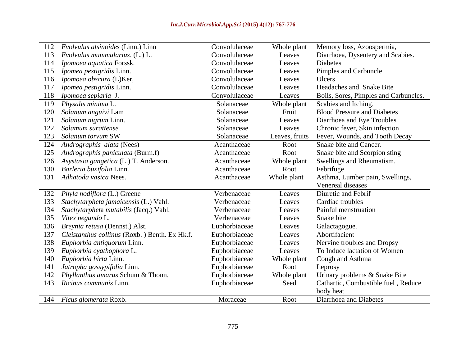| 112 Evolvulus alsinoides (Linn.) Linn             | Convolulaceae | Whole plant    | Memory loss, Azoospermia,             |
|---------------------------------------------------|---------------|----------------|---------------------------------------|
| 113 Evolvulus mummularius. (L.) L.                | Convolulaceae | Leaves         | Diarrhoea, Dysentery and Scabies.     |
| 114 <i>Ipomoea aquatica</i> Forssk.               | Convolulaceae | Leaves         | Diabetes                              |
| 115 <i>Ipomea pestigridis</i> Linn.               | Convolulaceae | Leaves         | Pimples and Carbuncle                 |
| 116 <i>Ipomoea obscura</i> (L)Ker,                | Convolulaceae | Leaves         | Ulcers                                |
| 117 Ipomea pestigridis Linn.                      | Convolulaceae | Leaves         | Headaches and Snake Bite              |
| 118 Ipomoea sepiaria J.                           | Convolulaceae | Leaves         | Boils, Sores, Pimples and Carbuncles. |
| 119 Physalis minima L.                            | Solanaceae    | Whole plant    | Scabies and Itching.                  |
| 120 Solanum anguivi Lam                           | Solanaceae    | Fruit          | <b>Blood Pressure and Diabetes</b>    |
| 121 Solanum nigrum Linn.                          | Solanaceae    | Leaves         | Diarrhoea and Eye Troubles            |
| 122 Solamum surattense                            | Solanaceae    | Leaves         | Chronic fever, Skin infection         |
| 123 Solanum torvum SW                             | Solanaceae    | Leaves, fruits | Fever, Wounds, and Tooth Decay        |
| 124 Andrographis alata (Nees)                     | Acanthaceae   | Root           | Snake bite and Cancer.                |
| 125 Andrographis paniculata (Burm.f)              | Acanthaceae   | Root           | Snake bite and Scorpion sting         |
| 126 Asystasia gangetica (L.) T. Anderson.         | Acanthaceae   | Whole plant    | Swellings and Rheumatism.             |
| 130 Barleria buxifolia Linn.                      | Acanthaceae   | Root           | Febrifuge                             |
| 131 Adhatoda vasica Nees.                         | Acanthaceae   | Whole plant    | Asthma, Lumber pain, Swellings,       |
|                                                   |               |                | Venereal diseases                     |
| 132 Phyla nodiflora (L.) Greene                   | Verbenaceae   | Leaves         | Diuretic and Febrif                   |
| 133 Stachytarpheta jamaicensis (L.) Vahl.         | Verbenaceae   | Leaves         | Cardiac troubles                      |
| 134 Stachytarpheta mutabilis (Jacq.) Vahl.        | Verbenaceae   | Leaves         | Painful menstruation                  |
| 135 Vitex negundo L.                              | Verbenaceae   | Leaves         | Snake bite                            |
| 136 Breynia retusa (Dennst.) Alst.                | Euphorbiaceae | Leaves         | Galactagogue.                         |
| 137 Cleistanthus collinus (Roxb.) Benth. Ex Hk.f. | Euphorbiaceae | Leaves         | Abortifacient                         |
| 138 Euphorbia antiquorum Linn.                    | Euphorbiaceae | Leaves         | Nervine troubles and Dropsy           |
| 139 Euphorbia cyathophora L.                      | Euphorbiaceae | Leaves         | To Induce lactation of Women          |
| 140 Euphorbia hirta Linn.                         | Euphorbiaceae | Whole plant    | Cough and Asthma                      |
| 141 <i>Jatropha gossypifolia</i> Linn.            | Euphorbiaceae | Root           | Leprosy                               |
| 142 Phyllanthus amarus Schum & Thonn.             | Euphorbiaceae | Whole plant    | Urinary problems & Snake Bite         |
| 143 Ricinus communis Linn.                        | Euphorbiaceae | Seed           | Cathartic, Combustible fuel, Reduce   |
|                                                   |               |                | body heat                             |
| 144 Ficus glomerata Roxb.                         | Moraceae      | Root           | Diarrhoea and Diabetes                |